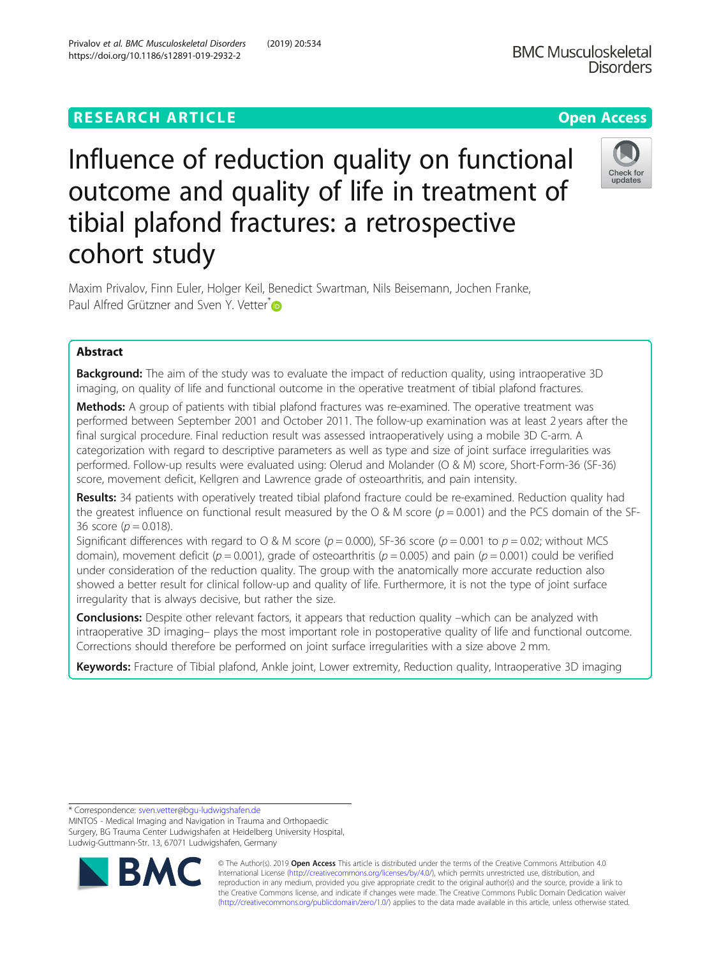# **RESEARCH ARTICLE Example 2014 12:30 The Contract of Contract ACCESS**

# Influence of reduction quality on functional outcome and quality of life in treatment of tibial plafond fractures: a retrospective cohort study

Maxim Privalov, Finn Euler, Holger Keil, Benedict Swartman, Nils Beisemann, Jochen Franke, Paul Alfred Grützner and Sven Y. Vetter<sup>[\\*](http://orcid.org/0000-0001-8024-9276)</sup>

# Abstract

**Background:** The aim of the study was to evaluate the impact of reduction quality, using intraoperative 3D imaging, on quality of life and functional outcome in the operative treatment of tibial plafond fractures.

Methods: A group of patients with tibial plafond fractures was re-examined. The operative treatment was performed between September 2001 and October 2011. The follow-up examination was at least 2 years after the final surgical procedure. Final reduction result was assessed intraoperatively using a mobile 3D C-arm. A categorization with regard to descriptive parameters as well as type and size of joint surface irregularities was performed. Follow-up results were evaluated using: Olerud and Molander (O & M) score, Short-Form-36 (SF-36) score, movement deficit, Kellgren and Lawrence grade of osteoarthritis, and pain intensity.

Results: 34 patients with operatively treated tibial plafond fracture could be re-examined. Reduction quality had the greatest influence on functional result measured by the  $\sigma$  & M score ( $p = 0.001$ ) and the PCS domain of the SF-36 score ( $p = 0.018$ ).

Significant differences with regard to O & M score ( $p = 0.000$ ), SF-36 score ( $p = 0.001$  to  $p = 0.02$ ; without MCS domain), movement deficit ( $p = 0.001$ ), grade of osteoarthritis ( $p = 0.005$ ) and pain ( $p = 0.001$ ) could be verified under consideration of the reduction quality. The group with the anatomically more accurate reduction also showed a better result for clinical follow-up and quality of life. Furthermore, it is not the type of joint surface irregularity that is always decisive, but rather the size.

**Conclusions:** Despite other relevant factors, it appears that reduction quality –which can be analyzed with intraoperative 3D imaging– plays the most important role in postoperative quality of life and functional outcome. Corrections should therefore be performed on joint surface irregularities with a size above 2 mm.

Keywords: Fracture of Tibial plafond, Ankle joint, Lower extremity, Reduction quality, Intraoperative 3D imaging

\* Correspondence: [sven.vetter@bgu-ludwigshafen.de](mailto:sven.vetter@bgu-ludwigshafen.de)

BΛ

MINTOS - Medical Imaging and Navigation in Trauma and Orthopaedic Surgery, BG Trauma Center Ludwigshafen at Heidelberg University Hospital, Ludwig-Guttmann-Str. 13, 67071 Ludwigshafen, Germany





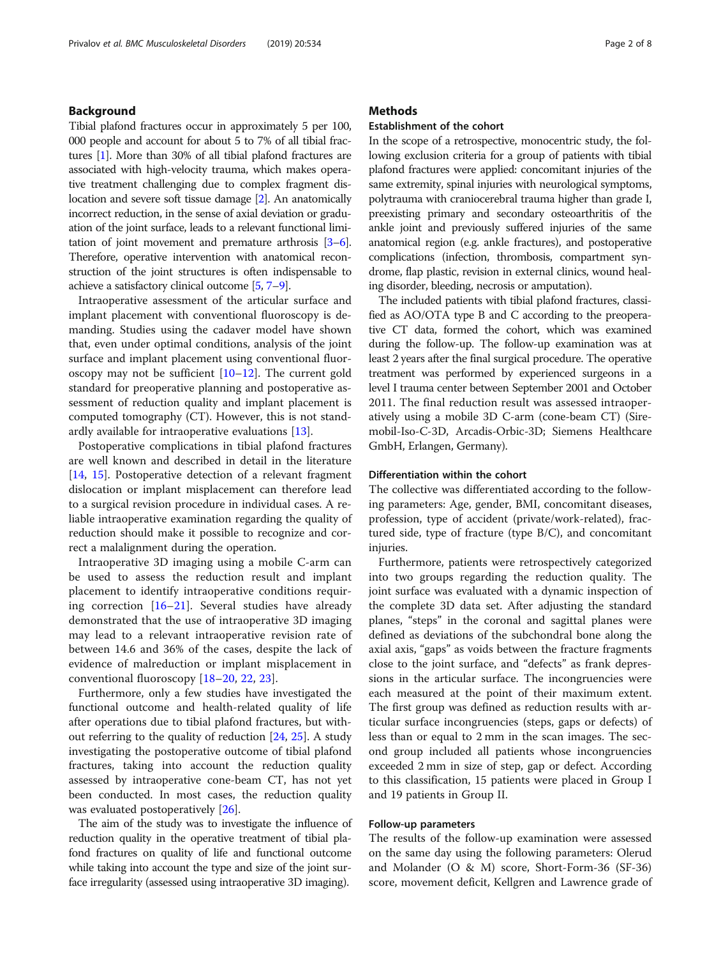# Background

Tibial plafond fractures occur in approximately 5 per 100, 000 people and account for about 5 to 7% of all tibial fractures [[1](#page-6-0)]. More than 30% of all tibial plafond fractures are associated with high-velocity trauma, which makes operative treatment challenging due to complex fragment dislocation and severe soft tissue damage [\[2](#page-6-0)]. An anatomically incorrect reduction, in the sense of axial deviation or graduation of the joint surface, leads to a relevant functional limitation of joint movement and premature arthrosis [\[3](#page-6-0)–[6](#page-6-0)]. Therefore, operative intervention with anatomical reconstruction of the joint structures is often indispensable to achieve a satisfactory clinical outcome [\[5,](#page-6-0) [7](#page-6-0)–[9](#page-6-0)].

Intraoperative assessment of the articular surface and implant placement with conventional fluoroscopy is demanding. Studies using the cadaver model have shown that, even under optimal conditions, analysis of the joint surface and implant placement using conventional fluoroscopy may not be sufficient [\[10](#page-7-0)–[12\]](#page-7-0). The current gold standard for preoperative planning and postoperative assessment of reduction quality and implant placement is computed tomography (CT). However, this is not standardly available for intraoperative evaluations [[13](#page-7-0)].

Postoperative complications in tibial plafond fractures are well known and described in detail in the literature [[14,](#page-7-0) [15\]](#page-7-0). Postoperative detection of a relevant fragment dislocation or implant misplacement can therefore lead to a surgical revision procedure in individual cases. A reliable intraoperative examination regarding the quality of reduction should make it possible to recognize and correct a malalignment during the operation.

Intraoperative 3D imaging using a mobile C-arm can be used to assess the reduction result and implant placement to identify intraoperative conditions requiring correction [[16](#page-7-0)–[21\]](#page-7-0). Several studies have already demonstrated that the use of intraoperative 3D imaging may lead to a relevant intraoperative revision rate of between 14.6 and 36% of the cases, despite the lack of evidence of malreduction or implant misplacement in conventional fluoroscopy [[18](#page-7-0)–[20,](#page-7-0) [22](#page-7-0), [23](#page-7-0)].

Furthermore, only a few studies have investigated the functional outcome and health-related quality of life after operations due to tibial plafond fractures, but without referring to the quality of reduction [[24,](#page-7-0) [25](#page-7-0)]. A study investigating the postoperative outcome of tibial plafond fractures, taking into account the reduction quality assessed by intraoperative cone-beam CT, has not yet been conducted. In most cases, the reduction quality was evaluated postoperatively [[26\]](#page-7-0).

The aim of the study was to investigate the influence of reduction quality in the operative treatment of tibial plafond fractures on quality of life and functional outcome while taking into account the type and size of the joint surface irregularity (assessed using intraoperative 3D imaging).

# **Methods**

# Establishment of the cohort

In the scope of a retrospective, monocentric study, the following exclusion criteria for a group of patients with tibial plafond fractures were applied: concomitant injuries of the same extremity, spinal injuries with neurological symptoms, polytrauma with craniocerebral trauma higher than grade I, preexisting primary and secondary osteoarthritis of the ankle joint and previously suffered injuries of the same anatomical region (e.g. ankle fractures), and postoperative complications (infection, thrombosis, compartment syndrome, flap plastic, revision in external clinics, wound healing disorder, bleeding, necrosis or amputation).

The included patients with tibial plafond fractures, classified as AO/OTA type B and C according to the preoperative CT data, formed the cohort, which was examined during the follow-up. The follow-up examination was at least 2 years after the final surgical procedure. The operative treatment was performed by experienced surgeons in a level I trauma center between September 2001 and October 2011. The final reduction result was assessed intraoperatively using a mobile 3D C-arm (cone-beam CT) (Siremobil-Iso-C-3D, Arcadis-Orbic-3D; Siemens Healthcare GmbH, Erlangen, Germany).

# Differentiation within the cohort

The collective was differentiated according to the following parameters: Age, gender, BMI, concomitant diseases, profession, type of accident (private/work-related), fractured side, type of fracture (type B/C), and concomitant injuries.

Furthermore, patients were retrospectively categorized into two groups regarding the reduction quality. The joint surface was evaluated with a dynamic inspection of the complete 3D data set. After adjusting the standard planes, "steps" in the coronal and sagittal planes were defined as deviations of the subchondral bone along the axial axis, "gaps" as voids between the fracture fragments close to the joint surface, and "defects" as frank depressions in the articular surface. The incongruencies were each measured at the point of their maximum extent. The first group was defined as reduction results with articular surface incongruencies (steps, gaps or defects) of less than or equal to 2 mm in the scan images. The second group included all patients whose incongruencies exceeded 2 mm in size of step, gap or defect. According to this classification, 15 patients were placed in Group I and 19 patients in Group II.

# Follow-up parameters

The results of the follow-up examination were assessed on the same day using the following parameters: Olerud and Molander (O & M) score, Short-Form-36 (SF-36) score, movement deficit, Kellgren and Lawrence grade of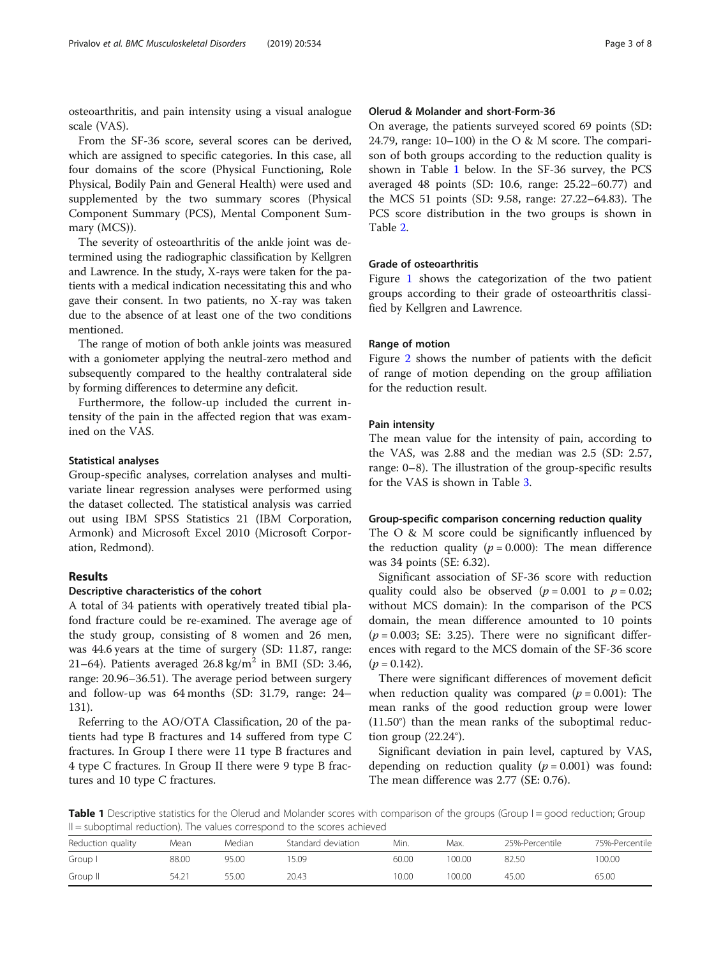osteoarthritis, and pain intensity using a visual analogue scale (VAS).

From the SF-36 score, several scores can be derived, which are assigned to specific categories. In this case, all four domains of the score (Physical Functioning, Role Physical, Bodily Pain and General Health) were used and supplemented by the two summary scores (Physical Component Summary (PCS), Mental Component Summary (MCS)).

The severity of osteoarthritis of the ankle joint was determined using the radiographic classification by Kellgren and Lawrence. In the study, X-rays were taken for the patients with a medical indication necessitating this and who gave their consent. In two patients, no X-ray was taken due to the absence of at least one of the two conditions mentioned.

The range of motion of both ankle joints was measured with a goniometer applying the neutral-zero method and subsequently compared to the healthy contralateral side by forming differences to determine any deficit.

Furthermore, the follow-up included the current intensity of the pain in the affected region that was examined on the VAS.

# Statistical analyses

Group-specific analyses, correlation analyses and multivariate linear regression analyses were performed using the dataset collected. The statistical analysis was carried out using IBM SPSS Statistics 21 (IBM Corporation, Armonk) and Microsoft Excel 2010 (Microsoft Corporation, Redmond).

# Results

#### Descriptive characteristics of the cohort

A total of 34 patients with operatively treated tibial plafond fracture could be re-examined. The average age of the study group, consisting of 8 women and 26 men, was 44.6 years at the time of surgery (SD: 11.87, range: 21–64). Patients averaged  $26.8 \text{ kg/m}^2$  in BMI (SD: 3.46, range: 20.96–36.51). The average period between surgery and follow-up was 64 months (SD: 31.79, range: 24– 131).

Referring to the AO/OTA Classification, 20 of the patients had type B fractures and 14 suffered from type C fractures. In Group I there were 11 type B fractures and 4 type C fractures. In Group II there were 9 type B fractures and 10 type C fractures.

# Olerud & Molander and short-Form-36

On average, the patients surveyed scored 69 points (SD: 24.79, range:  $10-100$ ) in the O & M score. The comparison of both groups according to the reduction quality is shown in Table 1 below. In the SF-36 survey, the PCS averaged 48 points (SD: 10.6, range: 25.22–60.77) and the MCS 51 points (SD: 9.58, range: 27.22–64.83). The PCS score distribution in the two groups is shown in Table [2.](#page-3-0)

# Grade of osteoarthritis

Figure [1](#page-3-0) shows the categorization of the two patient groups according to their grade of osteoarthritis classified by Kellgren and Lawrence.

# Range of motion

Figure [2](#page-4-0) shows the number of patients with the deficit of range of motion depending on the group affiliation for the reduction result.

# Pain intensity

The mean value for the intensity of pain, according to the VAS, was 2.88 and the median was 2.5 (SD: 2.57, range: 0–8). The illustration of the group-specific results for the VAS is shown in Table [3](#page-4-0).

### Group-specific comparison concerning reduction quality

The O & M score could be significantly influenced by the reduction quality ( $p = 0.000$ ): The mean difference was 34 points (SE: 6.32).

Significant association of SF-36 score with reduction quality could also be observed ( $p = 0.001$  to  $p = 0.02$ ; without MCS domain): In the comparison of the PCS domain, the mean difference amounted to 10 points  $(p = 0.003;$  SE: 3.25). There were no significant differences with regard to the MCS domain of the SF-36 score  $(p = 0.142)$ .

There were significant differences of movement deficit when reduction quality was compared  $(p = 0.001)$ : The mean ranks of the good reduction group were lower (11.50°) than the mean ranks of the suboptimal reduction group  $(22.24^{\circ})$ .

Significant deviation in pain level, captured by VAS, depending on reduction quality ( $p = 0.001$ ) was found: The mean difference was 2.77 (SE: 0.76).

Table 1 Descriptive statistics for the Olerud and Molander scores with comparison of the groups (Group I = good reduction; Group  $II =$  suboptimal reduction). The values correspond to the scores achieved

| Reduction quality | Mean  | Median | Standard deviation | Min.  | Max.   | 25%-Percentile | 75%-Percentile |
|-------------------|-------|--------|--------------------|-------|--------|----------------|----------------|
|                   |       |        |                    |       |        |                |                |
| Group I           | 88.00 | 95.00  | 5.09               | 60.00 | 100.00 | 82.50          | 100.00         |
| Group II          | 54.21 | 55.00  | 20.43              | 10.00 | 100.00 | 45.00          | 65.00          |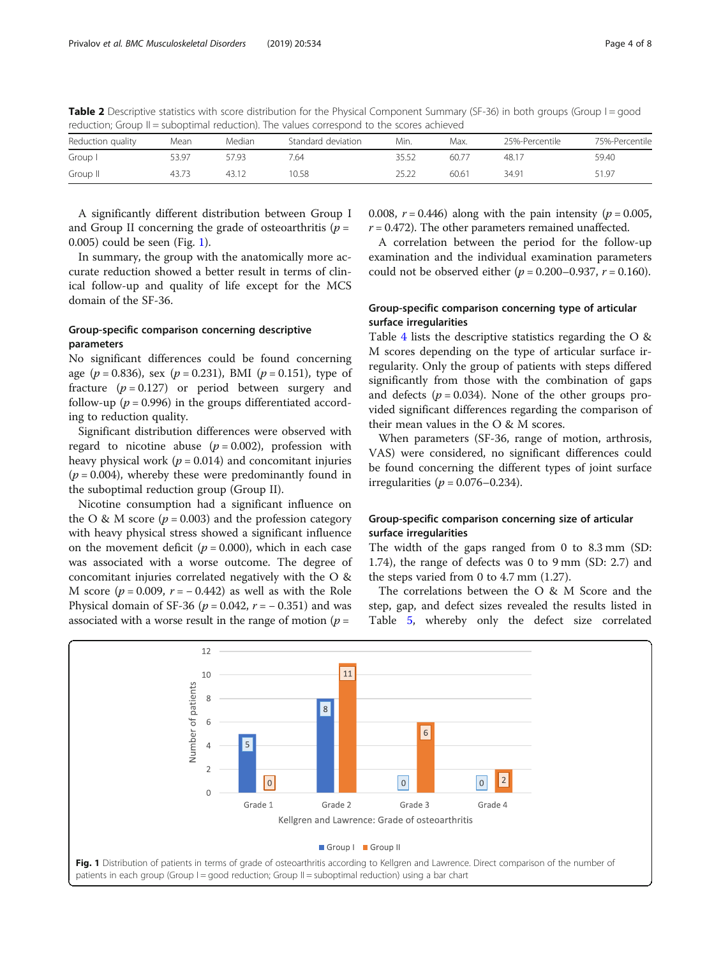| Tequetion, Group ii – supopumar requetion). The values correspond to the scores achieved |       |        |                    |       |       |                |                |  |
|------------------------------------------------------------------------------------------|-------|--------|--------------------|-------|-------|----------------|----------------|--|
| Reduction quality                                                                        | Mean  | Median | Standard deviation | Min.  | Max.  | 25%-Percentile | 75%-Percentile |  |
| Group I                                                                                  | 53.97 | 57.93  | 7.64               | 35.52 | 60.77 | 48.17          | 59.40          |  |
| Group II                                                                                 | 43.73 | 43.12  | 0.58               | 25.22 | 60.61 | 34.91          | 51.97          |  |

<span id="page-3-0"></span>Table 2 Descriptive statistics with score distribution for the Physical Component Summary (SF-36) in both groups (Group I = good reduction; Group II = suboptimal reduction). The values correspond to the scores achieved

A significantly different distribution between Group I and Group II concerning the grade of osteoarthritis ( $p =$ 0.005) could be seen (Fig. 1).

In summary, the group with the anatomically more accurate reduction showed a better result in terms of clinical follow-up and quality of life except for the MCS domain of the SF-36.

# Group-specific comparison concerning descriptive parameters

No significant differences could be found concerning age ( $p = 0.836$ ), sex ( $p = 0.231$ ), BMI ( $p = 0.151$ ), type of fracture  $(p = 0.127)$  or period between surgery and follow-up ( $p = 0.996$ ) in the groups differentiated according to reduction quality.

Significant distribution differences were observed with regard to nicotine abuse ( $p = 0.002$ ), profession with heavy physical work ( $p = 0.014$ ) and concomitant injuries  $(p = 0.004)$ , whereby these were predominantly found in the suboptimal reduction group (Group II).

Nicotine consumption had a significant influence on the O & M score ( $p = 0.003$ ) and the profession category with heavy physical stress showed a significant influence on the movement deficit ( $p = 0.000$ ), which in each case was associated with a worse outcome. The degree of concomitant injuries correlated negatively with the O & M score ( $p = 0.009$ ,  $r = -0.442$ ) as well as with the Role Physical domain of SF-36 ( $p = 0.042$ ,  $r = -0.351$ ) and was associated with a worse result in the range of motion ( $p =$ 

0.008,  $r = 0.446$ ) along with the pain intensity ( $p = 0.005$ ,  $r = 0.472$ ). The other parameters remained unaffected.

A correlation between the period for the follow-up examination and the individual examination parameters could not be observed either ( $p = 0.200 - 0.937$ ,  $r = 0.160$ ).

# Group-specific comparison concerning type of articular surface irregularities

Table [4](#page-5-0) lists the descriptive statistics regarding the O & M scores depending on the type of articular surface irregularity. Only the group of patients with steps differed significantly from those with the combination of gaps and defects ( $p = 0.034$ ). None of the other groups provided significant differences regarding the comparison of their mean values in the O & M scores.

When parameters (SF-36, range of motion, arthrosis, VAS) were considered, no significant differences could be found concerning the different types of joint surface irregularities ( $p = 0.076 - 0.234$ ).

# Group-specific comparison concerning size of articular surface irregularities

The width of the gaps ranged from 0 to 8.3 mm (SD: 1.74), the range of defects was 0 to 9 mm (SD: 2.7) and the steps varied from 0 to 4.7 mm (1.27).

The correlations between the O & M Score and the step, gap, and defect sizes revealed the results listed in Table [5](#page-5-0), whereby only the defect size correlated

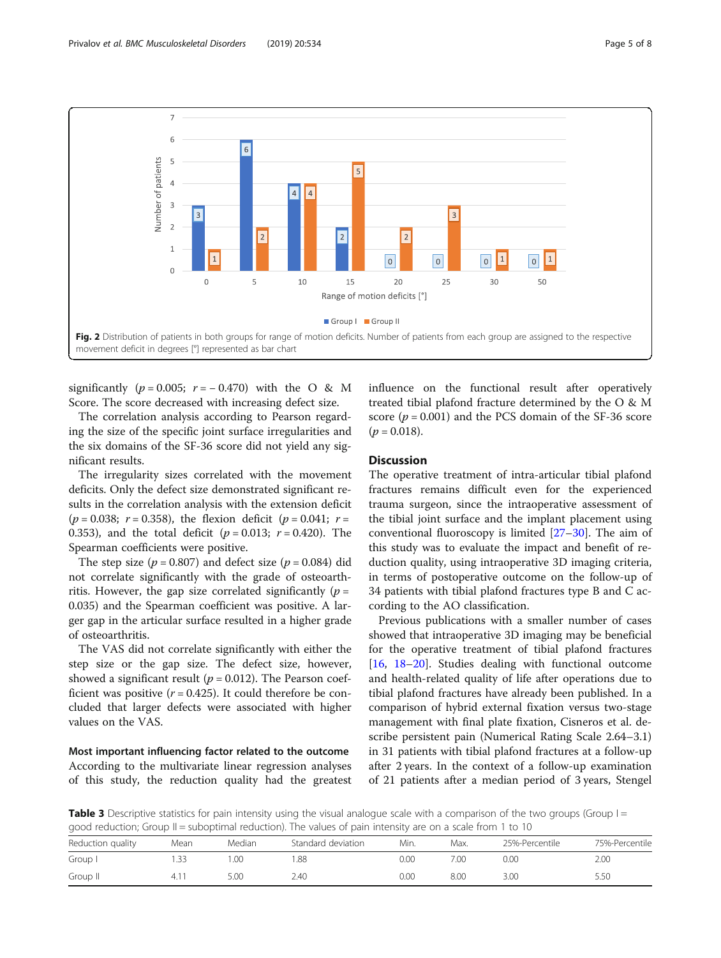<span id="page-4-0"></span>

significantly ( $p = 0.005$ ;  $r = -0.470$ ) with the O & M Score. The score decreased with increasing defect size.

The correlation analysis according to Pearson regarding the size of the specific joint surface irregularities and the six domains of the SF-36 score did not yield any significant results.

The irregularity sizes correlated with the movement deficits. Only the defect size demonstrated significant results in the correlation analysis with the extension deficit  $(p = 0.038; r = 0.358)$ , the flexion deficit  $(p = 0.041; r =$ 0.353), and the total deficit ( $p = 0.013$ ;  $r = 0.420$ ). The Spearman coefficients were positive.

The step size ( $p = 0.807$ ) and defect size ( $p = 0.084$ ) did not correlate significantly with the grade of osteoarthritis. However, the gap size correlated significantly ( $p =$ 0.035) and the Spearman coefficient was positive. A larger gap in the articular surface resulted in a higher grade of osteoarthritis.

The VAS did not correlate significantly with either the step size or the gap size. The defect size, however, showed a significant result ( $p = 0.012$ ). The Pearson coefficient was positive  $(r = 0.425)$ . It could therefore be concluded that larger defects were associated with higher values on the VAS.

Most important influencing factor related to the outcome According to the multivariate linear regression analyses of this study, the reduction quality had the greatest influence on the functional result after operatively treated tibial plafond fracture determined by the O & M score ( $p = 0.001$ ) and the PCS domain of the SF-36 score  $(p = 0.018)$ .

# **Discussion**

The operative treatment of intra-articular tibial plafond fractures remains difficult even for the experienced trauma surgeon, since the intraoperative assessment of the tibial joint surface and the implant placement using conventional fluoroscopy is limited [\[27](#page-7-0)–[30\]](#page-7-0). The aim of this study was to evaluate the impact and benefit of reduction quality, using intraoperative 3D imaging criteria, in terms of postoperative outcome on the follow-up of 34 patients with tibial plafond fractures type B and C according to the AO classification.

Previous publications with a smaller number of cases showed that intraoperative 3D imaging may be beneficial for the operative treatment of tibial plafond fractures [[16,](#page-7-0) [18](#page-7-0)–[20](#page-7-0)]. Studies dealing with functional outcome and health-related quality of life after operations due to tibial plafond fractures have already been published. In a comparison of hybrid external fixation versus two-stage management with final plate fixation, Cisneros et al. describe persistent pain (Numerical Rating Scale 2.64–3.1) in 31 patients with tibial plafond fractures at a follow-up after 2 years. In the context of a follow-up examination of 21 patients after a median period of 3 years, Stengel

**Table 3** Descriptive statistics for pain intensity using the visual analogue scale with a comparison of the two groups (Group  $I =$ good reduction; Group II = suboptimal reduction). The values of pain intensity are on a scale from 1 to 10

| discussional and also come about the analysis the concerns of leave constrained and account them to be a the |      |        |                    |      |      |                |                |
|--------------------------------------------------------------------------------------------------------------|------|--------|--------------------|------|------|----------------|----------------|
| Reduction quality                                                                                            | Mean | Median | Standard deviation | Min. | Max. | 25%-Percentile | 75%-Percentile |
| Group I                                                                                                      | .33  | .00    | 1.88               | 0.00 | 7.OC | 0.00           | 2.00           |
| Group II                                                                                                     |      | 5.00   | 2.40               | 0.00 | 8.00 | 3.00           | 5.50           |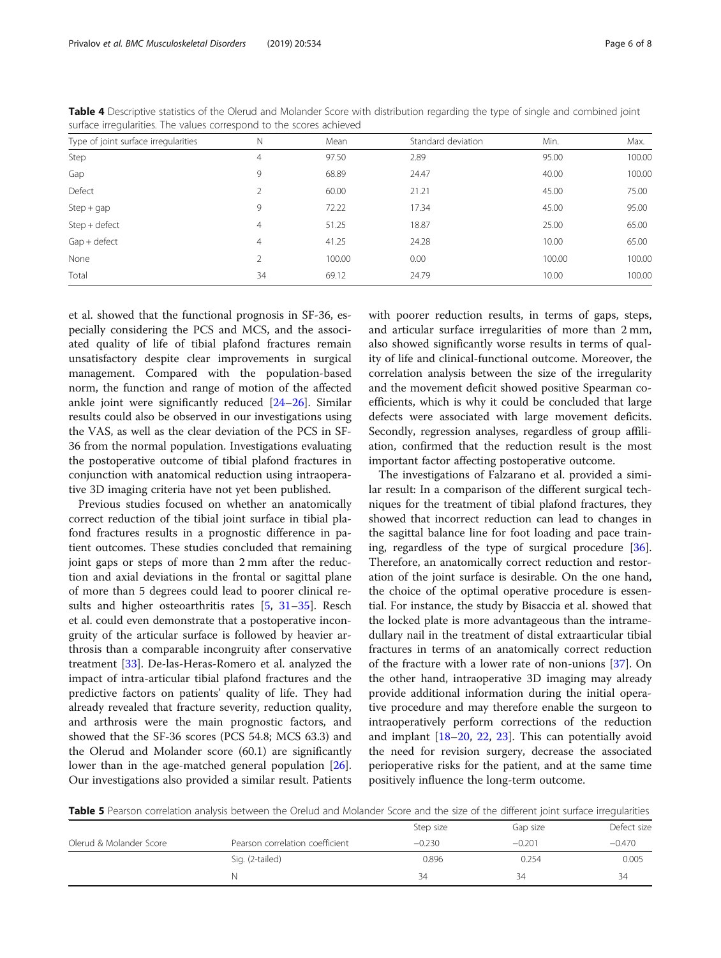| Type of joint surface irregularities | N              | Mean   | Standard deviation | Min.   | Max.   |
|--------------------------------------|----------------|--------|--------------------|--------|--------|
| Step                                 | 4              | 97.50  | 2.89               | 95.00  | 100.00 |
| Gap                                  | 9              | 68.89  | 24.47              | 40.00  | 100.00 |
| Defect                               | $\overline{2}$ | 60.00  | 21.21              | 45.00  | 75.00  |
| $Step + gap$                         | 9              | 72.22  | 17.34              | 45.00  | 95.00  |
| Step + defect                        | 4              | 51.25  | 18.87              | 25.00  | 65.00  |
| $Gap + defect$                       | $\overline{4}$ | 41.25  | 24.28              | 10.00  | 65.00  |
| None                                 | $\overline{2}$ | 100.00 | 0.00               | 100.00 | 100.00 |
| Total                                | 34             | 69.12  | 24.79              | 10.00  | 100.00 |

<span id="page-5-0"></span>Table 4 Descriptive statistics of the Olerud and Molander Score with distribution regarding the type of single and combined joint surface irregularities. The values correspond to the scores achieved

et al. showed that the functional prognosis in SF-36, especially considering the PCS and MCS, and the associated quality of life of tibial plafond fractures remain unsatisfactory despite clear improvements in surgical management. Compared with the population-based norm, the function and range of motion of the affected ankle joint were significantly reduced [[24](#page-7-0)–[26](#page-7-0)]. Similar results could also be observed in our investigations using the VAS, as well as the clear deviation of the PCS in SF-36 from the normal population. Investigations evaluating the postoperative outcome of tibial plafond fractures in conjunction with anatomical reduction using intraoperative 3D imaging criteria have not yet been published.

Previous studies focused on whether an anatomically correct reduction of the tibial joint surface in tibial plafond fractures results in a prognostic difference in patient outcomes. These studies concluded that remaining joint gaps or steps of more than 2 mm after the reduction and axial deviations in the frontal or sagittal plane of more than 5 degrees could lead to poorer clinical results and higher osteoarthritis rates [\[5](#page-6-0), [31](#page-7-0)–[35](#page-7-0)]. Resch et al. could even demonstrate that a postoperative incongruity of the articular surface is followed by heavier arthrosis than a comparable incongruity after conservative treatment [\[33](#page-7-0)]. De-las-Heras-Romero et al. analyzed the impact of intra-articular tibial plafond fractures and the predictive factors on patients' quality of life. They had already revealed that fracture severity, reduction quality, and arthrosis were the main prognostic factors, and showed that the SF-36 scores (PCS 54.8; MCS 63.3) and the Olerud and Molander score (60.1) are significantly lower than in the age-matched general population [\[26](#page-7-0)]. Our investigations also provided a similar result. Patients with poorer reduction results, in terms of gaps, steps, and articular surface irregularities of more than 2 mm, also showed significantly worse results in terms of quality of life and clinical-functional outcome. Moreover, the correlation analysis between the size of the irregularity and the movement deficit showed positive Spearman coefficients, which is why it could be concluded that large defects were associated with large movement deficits. Secondly, regression analyses, regardless of group affiliation, confirmed that the reduction result is the most important factor affecting postoperative outcome.

The investigations of Falzarano et al. provided a similar result: In a comparison of the different surgical techniques for the treatment of tibial plafond fractures, they showed that incorrect reduction can lead to changes in the sagittal balance line for foot loading and pace training, regardless of the type of surgical procedure [\[36](#page-7-0)]. Therefore, an anatomically correct reduction and restoration of the joint surface is desirable. On the one hand, the choice of the optimal operative procedure is essential. For instance, the study by Bisaccia et al. showed that the locked plate is more advantageous than the intramedullary nail in the treatment of distal extraarticular tibial fractures in terms of an anatomically correct reduction of the fracture with a lower rate of non-unions [[37\]](#page-7-0). On the other hand, intraoperative 3D imaging may already provide additional information during the initial operative procedure and may therefore enable the surgeon to intraoperatively perform corrections of the reduction and implant [\[18](#page-7-0)–[20](#page-7-0), [22](#page-7-0), [23](#page-7-0)]. This can potentially avoid the need for revision surgery, decrease the associated perioperative risks for the patient, and at the same time positively influence the long-term outcome.

Table 5 Pearson correlation analysis between the Orelud and Molander Score and the size of the different joint surface irregularities

|                         |                                 | Step size | Gap size | Defect size |
|-------------------------|---------------------------------|-----------|----------|-------------|
| Olerud & Molander Score | Pearson correlation coefficient | $-0.230$  | $-0.201$ | $-0.470$    |
|                         | Sig. (2-tailed)                 | 0.896     | 0.254    | 0.005       |
|                         |                                 | 34        | 34       | 34          |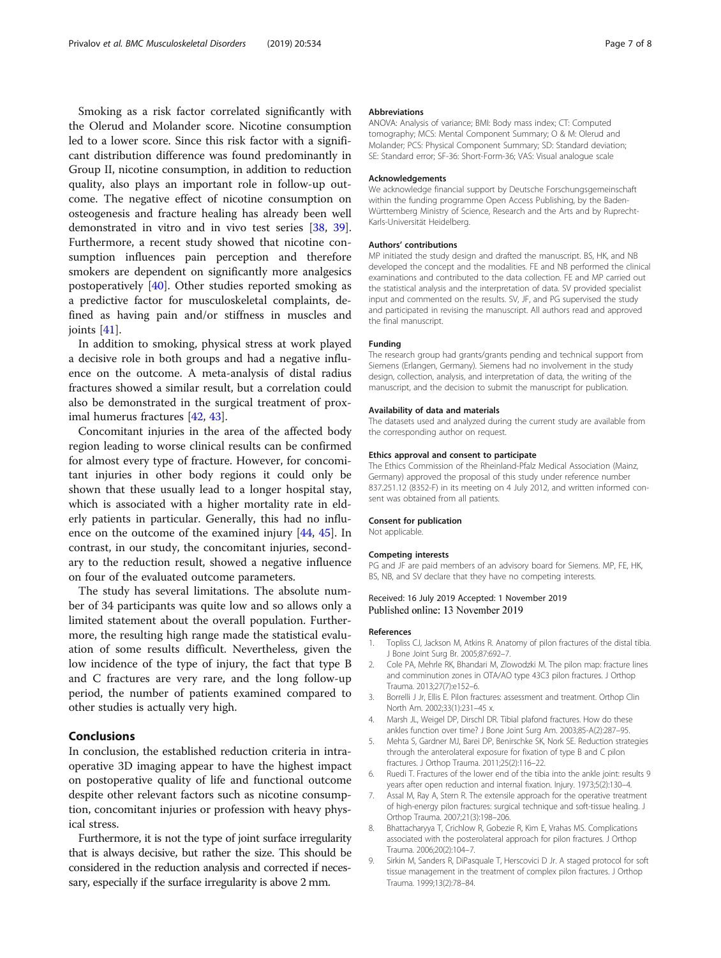<span id="page-6-0"></span>Smoking as a risk factor correlated significantly with the Olerud and Molander score. Nicotine consumption led to a lower score. Since this risk factor with a significant distribution difference was found predominantly in Group II, nicotine consumption, in addition to reduction quality, also plays an important role in follow-up outcome. The negative effect of nicotine consumption on osteogenesis and fracture healing has already been well demonstrated in vitro and in vivo test series [[38](#page-7-0), [39](#page-7-0)]. Furthermore, a recent study showed that nicotine consumption influences pain perception and therefore smokers are dependent on significantly more analgesics postoperatively [\[40](#page-7-0)]. Other studies reported smoking as a predictive factor for musculoskeletal complaints, defined as having pain and/or stiffness in muscles and joints [\[41](#page-7-0)].

In addition to smoking, physical stress at work played a decisive role in both groups and had a negative influence on the outcome. A meta-analysis of distal radius fractures showed a similar result, but a correlation could also be demonstrated in the surgical treatment of proximal humerus fractures [\[42,](#page-7-0) [43\]](#page-7-0).

Concomitant injuries in the area of the affected body region leading to worse clinical results can be confirmed for almost every type of fracture. However, for concomitant injuries in other body regions it could only be shown that these usually lead to a longer hospital stay, which is associated with a higher mortality rate in elderly patients in particular. Generally, this had no influence on the outcome of the examined injury [\[44,](#page-7-0) [45](#page-7-0)]. In contrast, in our study, the concomitant injuries, secondary to the reduction result, showed a negative influence on four of the evaluated outcome parameters.

The study has several limitations. The absolute number of 34 participants was quite low and so allows only a limited statement about the overall population. Furthermore, the resulting high range made the statistical evaluation of some results difficult. Nevertheless, given the low incidence of the type of injury, the fact that type B and C fractures are very rare, and the long follow-up period, the number of patients examined compared to other studies is actually very high.

# Conclusions

In conclusion, the established reduction criteria in intraoperative 3D imaging appear to have the highest impact on postoperative quality of life and functional outcome despite other relevant factors such as nicotine consumption, concomitant injuries or profession with heavy physical stress.

Furthermore, it is not the type of joint surface irregularity that is always decisive, but rather the size. This should be considered in the reduction analysis and corrected if necessary, especially if the surface irregularity is above 2 mm.

#### Abbreviations

ANOVA: Analysis of variance; BMI: Body mass index; CT: Computed tomography; MCS: Mental Component Summary; O & M: Olerud and Molander; PCS: Physical Component Summary; SD: Standard deviation; SE: Standard error; SF-36: Short-Form-36; VAS: Visual analogue scale

#### Acknowledgements

We acknowledge financial support by Deutsche Forschungsgemeinschaft within the funding programme Open Access Publishing, by the Baden-Württemberg Ministry of Science, Research and the Arts and by Ruprecht-Karls-Universität Heidelberg.

#### Authors' contributions

MP initiated the study design and drafted the manuscript. BS, HK, and NB developed the concept and the modalities. FE and NB performed the clinical examinations and contributed to the data collection. FE and MP carried out the statistical analysis and the interpretation of data. SV provided specialist input and commented on the results. SV, JF, and PG supervised the study and participated in revising the manuscript. All authors read and approved the final manuscript.

#### Funding

The research group had grants/grants pending and technical support from Siemens (Erlangen, Germany). Siemens had no involvement in the study design, collection, analysis, and interpretation of data, the writing of the manuscript, and the decision to submit the manuscript for publication.

#### Availability of data and materials

The datasets used and analyzed during the current study are available from the corresponding author on request.

#### Ethics approval and consent to participate

The Ethics Commission of the Rheinland-Pfalz Medical Association (Mainz, Germany) approved the proposal of this study under reference number 837.251.12 (8352-F) in its meeting on 4 July 2012, and written informed consent was obtained from all patients.

#### Consent for publication

Not applicable.

#### Competing interests

PG and JF are paid members of an advisory board for Siemens. MP, FE, HK, BS, NB, and SV declare that they have no competing interests.

# Received: 16 July 2019 Accepted: 1 November 2019 Published online: 13 November 2019

#### References

- 1. Topliss CJ, Jackson M, Atkins R. Anatomy of pilon fractures of the distal tibia. J Bone Joint Surg Br. 2005;87:692–7.
- 2. Cole PA, Mehrle RK, Bhandari M, Zlowodzki M. The pilon map: fracture lines and comminution zones in OTA/AO type 43C3 pilon fractures. J Orthop Trauma. 2013;27(7):e152–6.
- 3. Borrelli J Jr, Ellis E. Pilon fractures: assessment and treatment. Orthop Clin North Am. 2002;33(1):231–45 x.
- 4. Marsh JL, Weigel DP, Dirschl DR. Tibial plafond fractures. How do these ankles function over time? J Bone Joint Surg Am. 2003;85-A(2):287–95.
- 5. Mehta S, Gardner MJ, Barei DP, Benirschke SK, Nork SE. Reduction strategies through the anterolateral exposure for fixation of type B and C pilon fractures. J Orthop Trauma. 2011;25(2):116–22.
- 6. Ruedi T. Fractures of the lower end of the tibia into the ankle joint: results 9 years after open reduction and internal fixation. Injury. 1973;5(2):130–4.
- 7. Assal M, Ray A, Stern R. The extensile approach for the operative treatment of high-energy pilon fractures: surgical technique and soft-tissue healing. J Orthop Trauma. 2007;21(3):198–206.
- 8. Bhattacharyya T, Crichlow R, Gobezie R, Kim E, Vrahas MS. Complications associated with the posterolateral approach for pilon fractures. J Orthop Trauma. 2006;20(2):104–7.
- 9. Sirkin M, Sanders R, DiPasquale T, Herscovici D Jr. A staged protocol for soft tissue management in the treatment of complex pilon fractures. J Orthop Trauma. 1999;13(2):78–84.